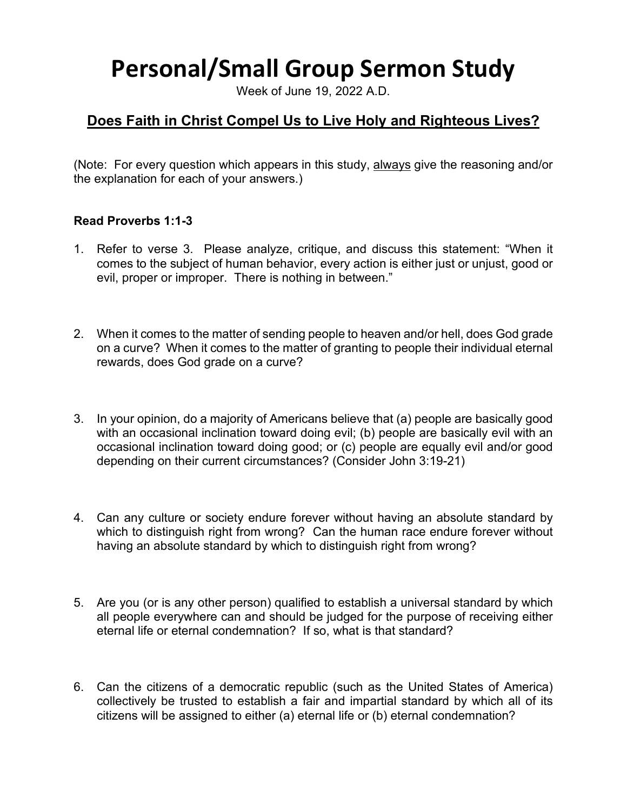# **Personal/Small Group Sermon Study**

Week of June 19, 2022 A.D.

## **Does Faith in Christ Compel Us to Live Holy and Righteous Lives?**

(Note: For every question which appears in this study, always give the reasoning and/or the explanation for each of your answers.)

#### **Read Proverbs 1:1-3**

- 1. Refer to verse 3. Please analyze, critique, and discuss this statement: "When it comes to the subject of human behavior, every action is either just or unjust, good or evil, proper or improper. There is nothing in between."
- 2. When it comes to the matter of sending people to heaven and/or hell, does God grade on a curve? When it comes to the matter of granting to people their individual eternal rewards, does God grade on a curve?
- 3. In your opinion, do a majority of Americans believe that (a) people are basically good with an occasional inclination toward doing evil; (b) people are basically evil with an occasional inclination toward doing good; or (c) people are equally evil and/or good depending on their current circumstances? (Consider John 3:19-21)
- 4. Can any culture or society endure forever without having an absolute standard by which to distinguish right from wrong? Can the human race endure forever without having an absolute standard by which to distinguish right from wrong?
- 5. Are you (or is any other person) qualified to establish a universal standard by which all people everywhere can and should be judged for the purpose of receiving either eternal life or eternal condemnation? If so, what is that standard?
- 6. Can the citizens of a democratic republic (such as the United States of America) collectively be trusted to establish a fair and impartial standard by which all of its citizens will be assigned to either (a) eternal life or (b) eternal condemnation?